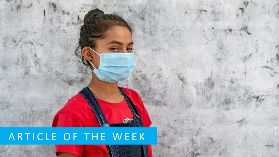## ARTICLE OF THE WEEK

Unicef/Kolari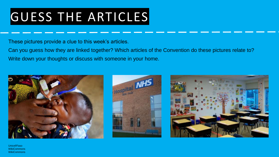# GUESS THE ARTICLES

These pictures provide a clue to this week's articles.

Can you guess how they are linked together? Which articles of the Convention do these pictures relate to? Write down your thoughts or discuss with someone in your home.







Unicef/Faso **WikiCommons WikiCommons**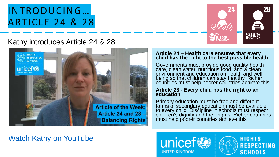### INTRODUCING… ARTICLE 24 & 28



#### Kathy introduces Article 24 & 28



#### **Article 24 – Health care ensures that every child has the right to the best possible health**

Governments must provide good quality health care, clean water, nutritious food, and a clean environment and education on health and wellbeing so that children can stay healthy. Richer countries must help poorer countries achieve this.

#### **Article 28 - Every child has the right to an education**

Primary education must be free and different forms of secondary education must be available to every child. Discipline in schools must respect children's dignity and their rights. Richer countries must help poorer countries achieve this

#### [Watch Kathy on YouTube](https://youtu.be/J4nJGLsTfCk)



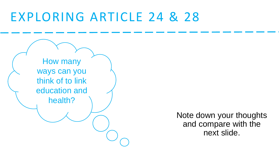## EXPLORING ARTICLE 24 & 28



Note down your thoughts and compare with the next slide.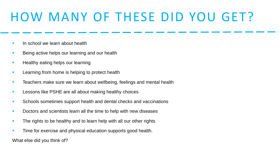## HOW MANY OF THESE DID YOU GET?

- **In school we learn about health**
- Being active helps our learning and our health
- **E** Healthy eating helps our learning
- **EXECTE:** Learning from home is helping to protect health
- **EXE** Teachers make sure we learn about wellbeing, feelings and mental health
- **EXECT** Lessons like PSHE are all about making healthy choices
- Schools sometimes support health and dental checks and vaccinations
- Doctors and scientists learn all the time to help with new diseases
- **The rights to be healthy and to learn help with all our other rights**
- **EXECT** Time for exercise and physical education supports good health.

What else did you think of?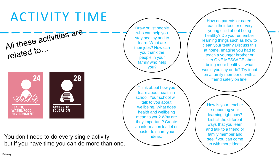# ACTIVITY TIME



You don't need to do every single activity but if you have time you can do more than one.

Draw or list people who can help you stay healthy and to learn. What are their jobs? How can you thank the people in your family who help you?

Think about how you learn about health in school. Your school will talk to you about wellbeing. What does health and wellbeing mean to you? Why are they important? Create an information leaflet or poster to share your ideas.

How do parents or carers teach their toddler or very young child about being healthy? Do you remember learning things such as how to clean your teeth? Discuss this at home. Imagine you had to teach a younger brother or sister ONE MESSAGE about being more healthy – what would you say or do? Try it out on a family member or with a friend safely on line.

How is your teacher supporting your learning right now? List all the different ways that you learn and talk to a friend or family member and see if you can come up with more ideas.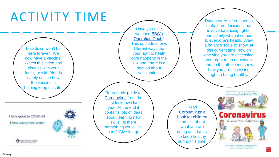#### ACTIVITY TIME Duty bearers often have to make hard decisions that Have you ever involve balancing rights, watched BBC's particularly when it comes [Operation Ouch?](https://www.bbc.co.uk/iplayer/episode/m0009882/operation-ouch-series-8-5-what-are-vaccinations-for) to everyone's health. Draw This episode shows a balance scale to show, at Lockdown won't be different ways that this current time, how on here forever. We your right to heath one side you are accessing now have a vaccine. care happens in the your right to an education UK and there is a [Watch this video a](https://www.youtube.com/watch?app=desktop&v=p7fDNWwWyBE&ab_channel=BostonChildren%27sHospital)nd and on the other side show section about discuss with your how you are accessing family or with friends vaccination. right to being healthy. safely on line how the vaccine is helping keep us safe. [Reread this guide to](https://www.childrenscommissioner.gov.uk/wp-content/uploads/2020/03/cco-childrens-guide-to-coronavirus.pdf) by Elizabeth Jenner, Kate Wilson & His Robert Illustrated by Axel Scheffler Coronavirus from the first lockdown last Read year. At the end it Coronavirus: a contains lots of ideas **Coronavirus** A kid's guide to COVID-19 [book for children](https://nosycrowcoronavirus.s3-eu-west-1.amazonaws.com/Coronavirus_ABookForChildren.pdf) about learning new A book for children and talk about skills. Is there How vaccines work something you'd like what you are doing as a family to try? Give it a go. to keep healthy during this time. **Steeler Driance Fogulat** ditant: Professor Grah